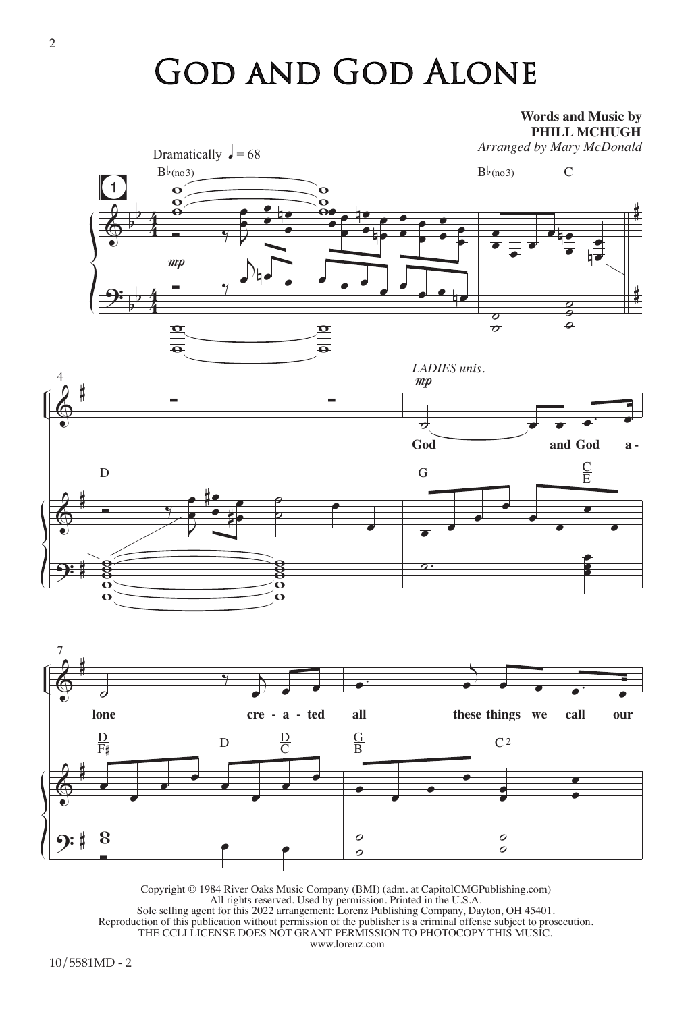## God and God Alone

**Words and Music by**



Copyright © 1984 River Oaks Music Company (BMI) (adm. at CapitolCMGPublishing.com) All rights reserved. Used by permission. Printed in the U.S.A. Sole selling agent for this 2022 arrangement: Lorenz Publishing Company, Dayton, OH 45401. Reproduction of this publication without permission of the publisher is a criminal offense subject to prosecution. THE CCLI LICENSE DOES NOT GRANT PERMISSION TO PHOTOCOPY THIS MUSIC. www.lorenz.com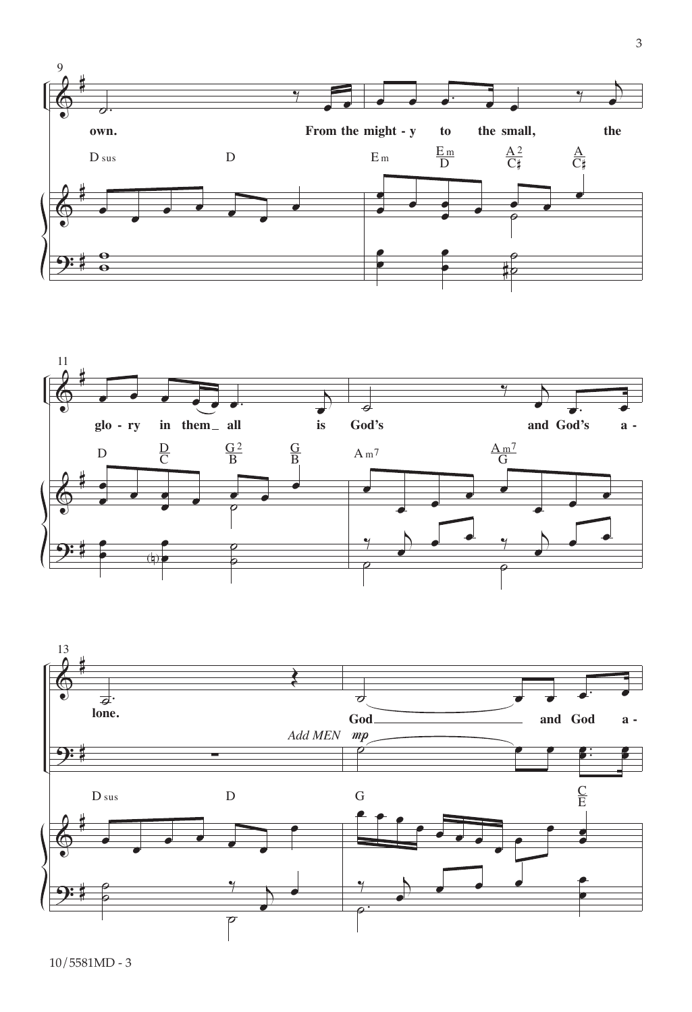



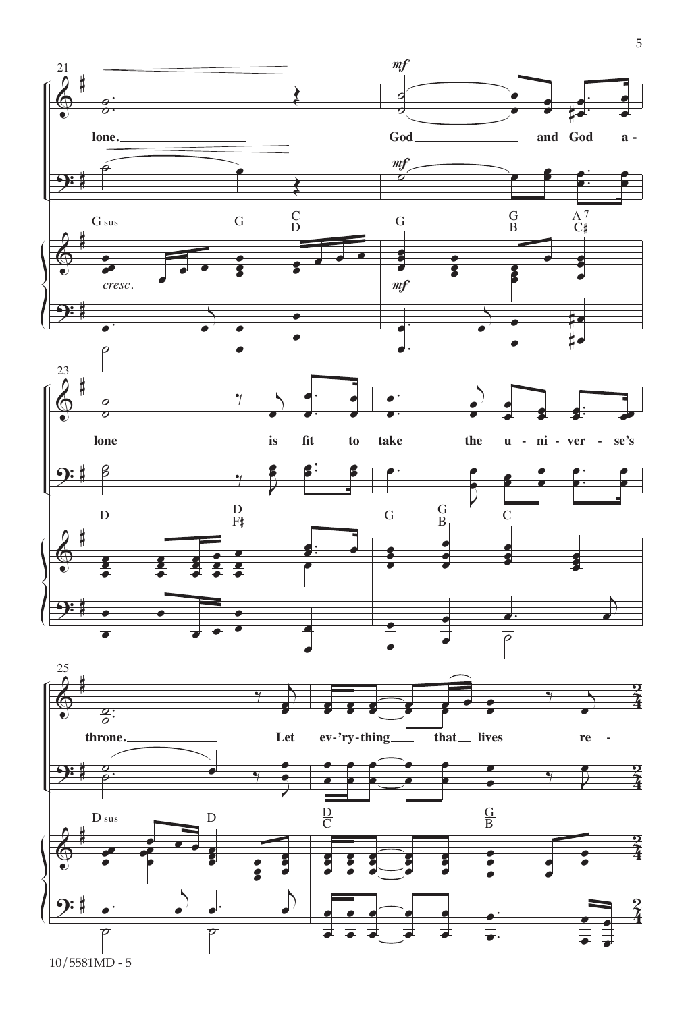

10/5581MD - 5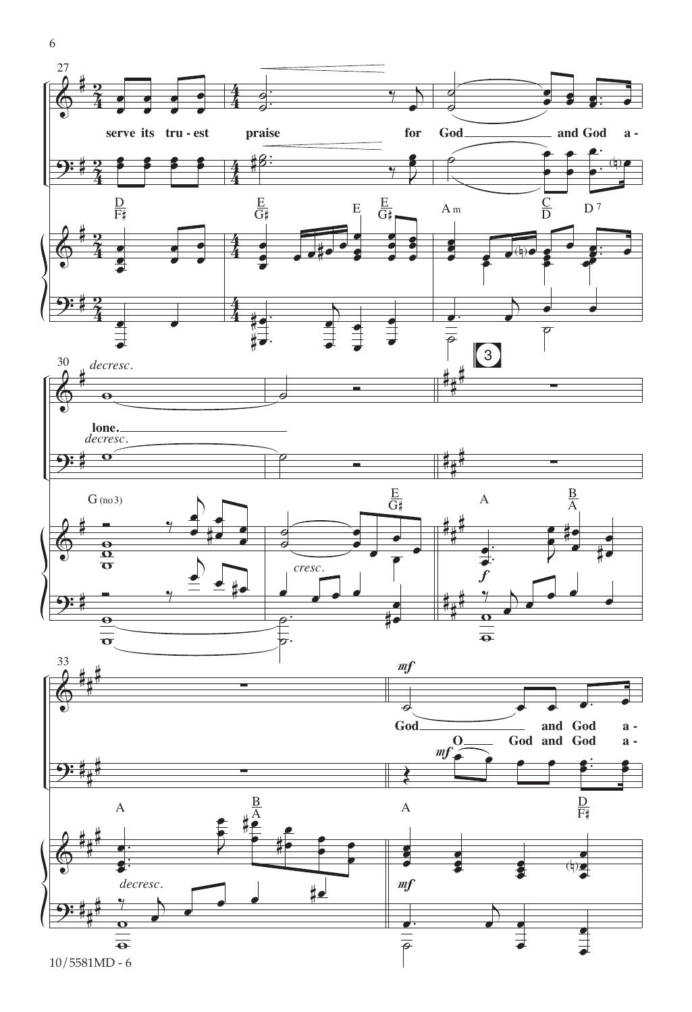

 $\overline{\rho}$ 

œ

œ

$$
10/5581\mathrm{MD} - 6
$$

 $\overline{\bullet}$ 

6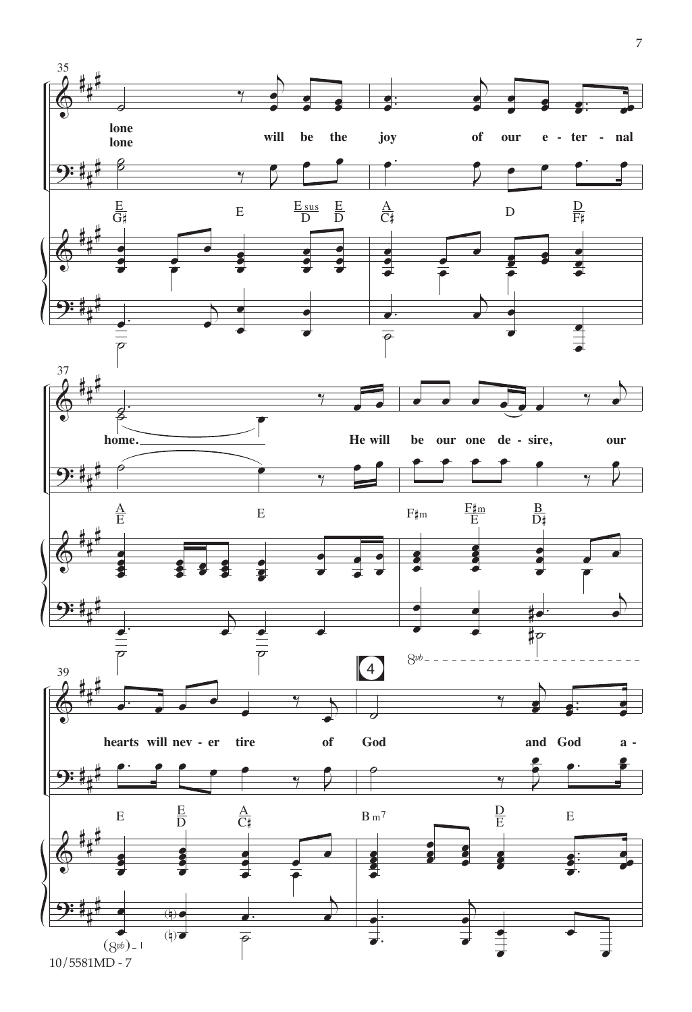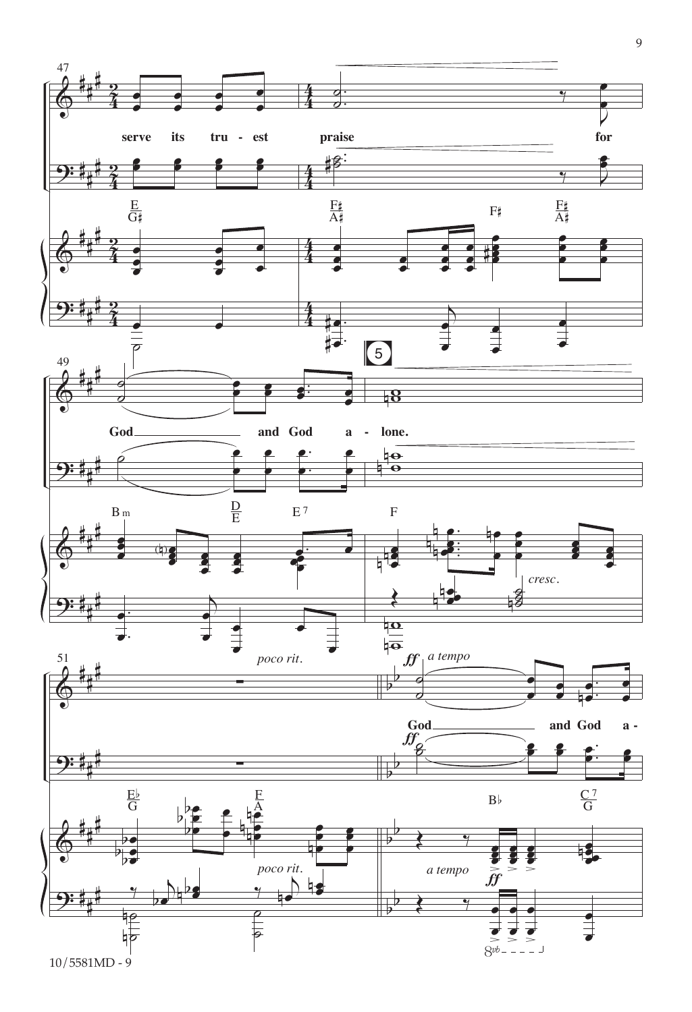

9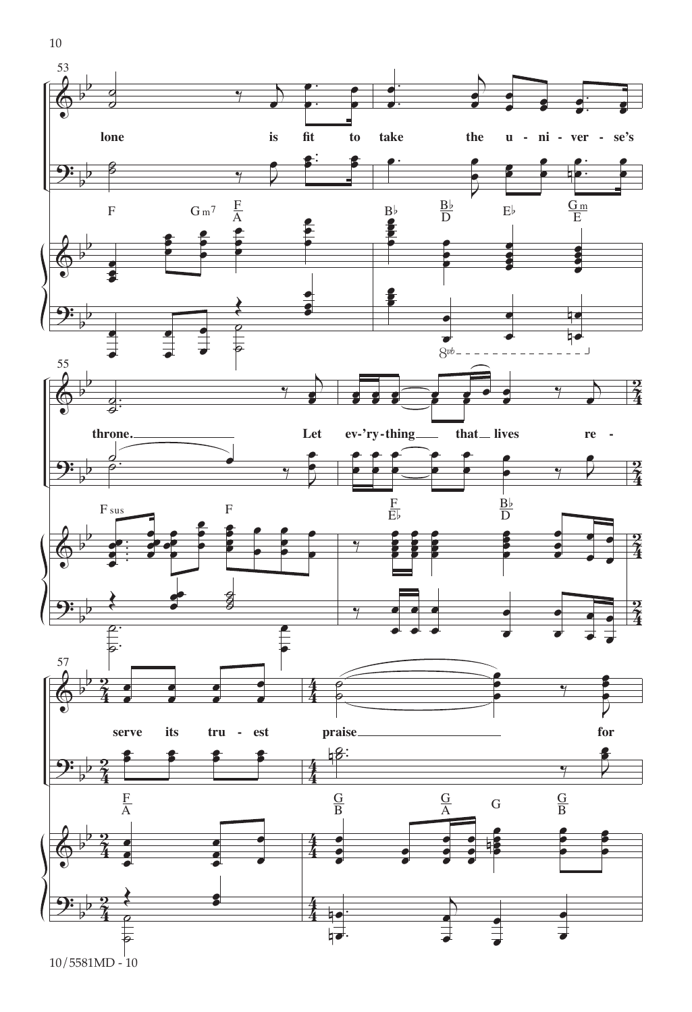

10/5581MD - 10